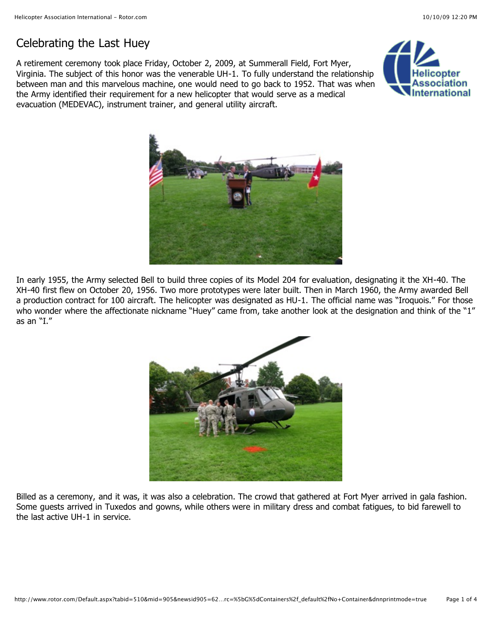## Celebrating the Last Huey

A retirement ceremony took place Friday, October 2, 2009, at Summerall Field, Fort Myer, Virginia. The subject of this honor was the venerable UH-1. To fully understand the relationship between man and this marvelous machine, one would need to go back to 1952. That was when the Army identified their requirement for a new helicopter that would serve as a medical evacuation (MEDEVAC), instrument trainer, and general utility aircraft.





In early 1955, the Army selected Bell to build three copies of its Model 204 for evaluation, designating it the XH-40. The XH-40 first flew on October 20, 1956. Two more prototypes were later built. Then in March 1960, the Army awarded Bell a production contract for 100 aircraft. The helicopter was designated as HU-1. The official name was "Iroquois." For those who wonder where the affectionate nickname "Huey" came from, take another look at the designation and think of the "1" as an "I."



Billed as a ceremony, and it was, it was also a celebration. The crowd that gathered at Fort Myer arrived in gala fashion. Some guests arrived in Tuxedos and gowns, while others were in military dress and combat fatigues, to bid farewell to the last active UH-1 in service.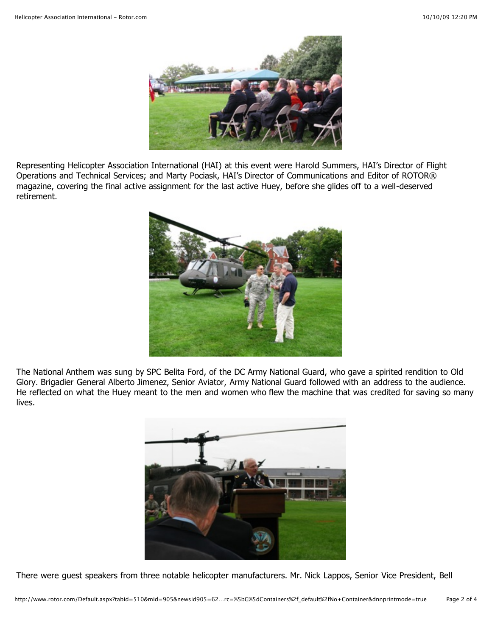

Representing Helicopter Association International (HAI) at this event were Harold Summers, HAI's Director of Flight Operations and Technical Services; and Marty Pociask, HAI's Director of Communications and Editor of ROTOR® magazine, covering the final active assignment for the last active Huey, before she glides off to a well-deserved retirement.



The National Anthem was sung by SPC Belita Ford, of the DC Army National Guard, who gave a spirited rendition to Old Glory. Brigadier General Alberto Jimenez, Senior Aviator, Army National Guard followed with an address to the audience. He reflected on what the Huey meant to the men and women who flew the machine that was credited for saving so many lives.



There were guest speakers from three notable helicopter manufacturers. Mr. Nick Lappos, Senior Vice President, Bell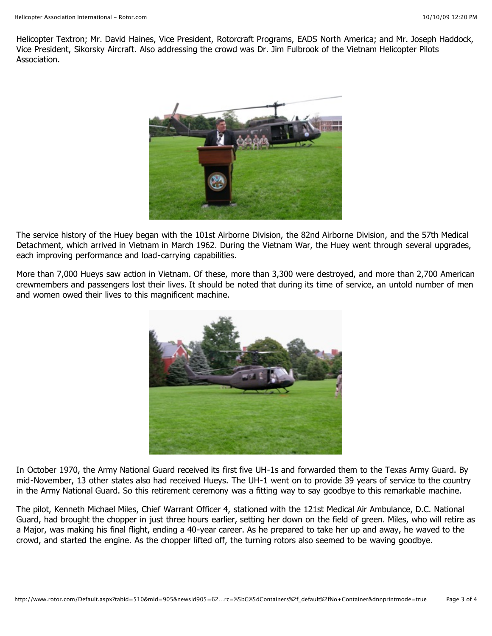Helicopter Textron; Mr. David Haines, Vice President, Rotorcraft Programs, EADS North America; and Mr. Joseph Haddock, Vice President, Sikorsky Aircraft. Also addressing the crowd was Dr. Jim Fulbrook of the Vietnam Helicopter Pilots Association.



The service history of the Huey began with the 101st Airborne Division, the 82nd Airborne Division, and the 57th Medical Detachment, which arrived in Vietnam in March 1962. During the Vietnam War, the Huey went through several upgrades, each improving performance and load-carrying capabilities.

More than 7,000 Hueys saw action in Vietnam. Of these, more than 3,300 were destroyed, and more than 2,700 American crewmembers and passengers lost their lives. It should be noted that during its time of service, an untold number of men and women owed their lives to this magnificent machine.



In October 1970, the Army National Guard received its first five UH-1s and forwarded them to the Texas Army Guard. By mid-November, 13 other states also had received Hueys. The UH-1 went on to provide 39 years of service to the country in the Army National Guard. So this retirement ceremony was a fitting way to say goodbye to this remarkable machine.

The pilot, Kenneth Michael Miles, Chief Warrant Officer 4, stationed with the 121st Medical Air Ambulance, D.C. National Guard, had brought the chopper in just three hours earlier, setting her down on the field of green. Miles, who will retire as a Major, was making his final flight, ending a 40-year career. As he prepared to take her up and away, he waved to the crowd, and started the engine. As the chopper lifted off, the turning rotors also seemed to be waving goodbye.